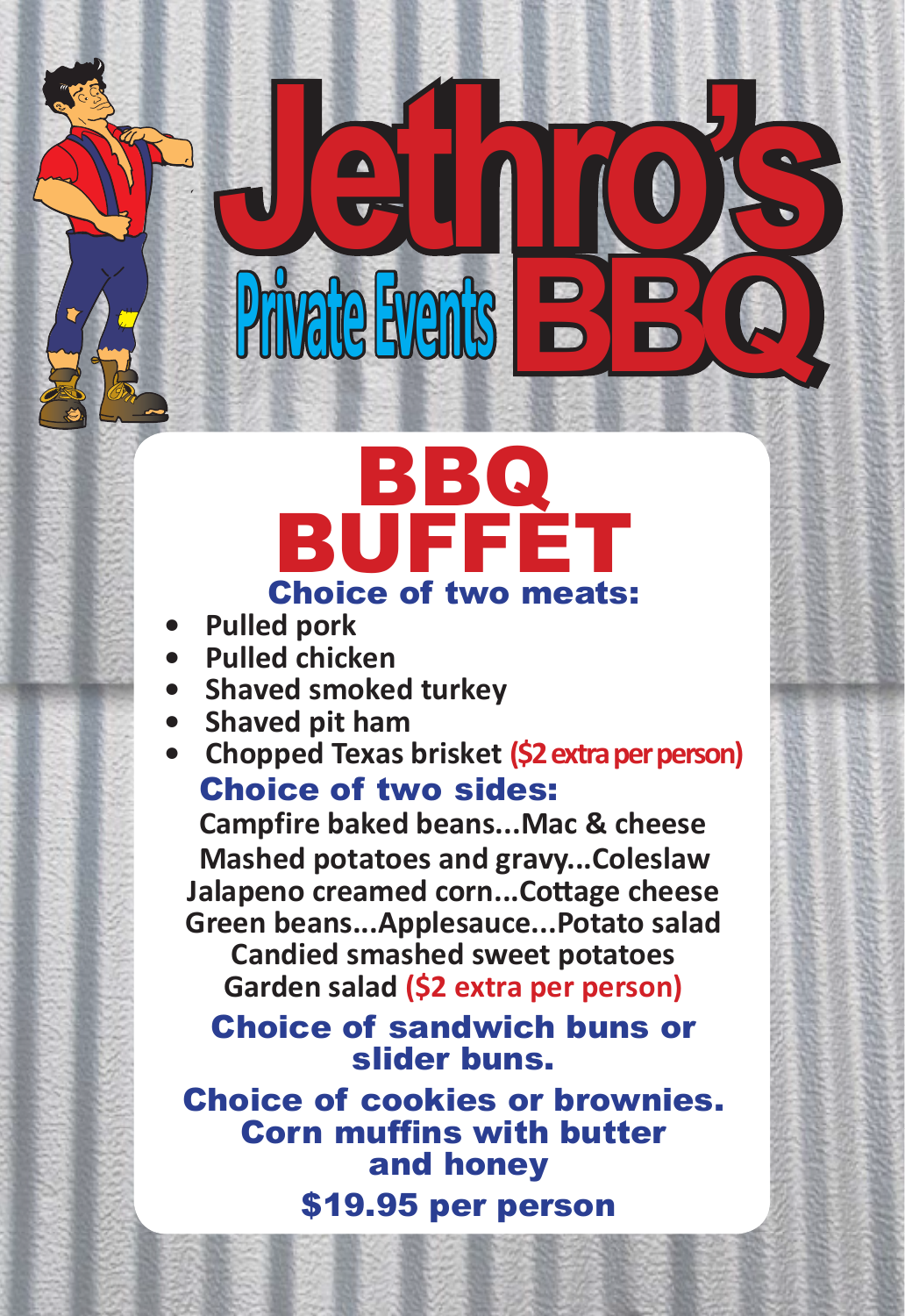## BBQ BUFFET Choice of two meats:

 **Private EventsBBQ**

**Jethro's Jethro's** 

- **Pulled pork**
- **Pulled chicken**
- **Shaved smoked turkey**
- **Shaved pit ham**
- **Chopped Texas brisket (\$2 extra per person)** Choice of two sides:

**Campfire baked beans...Mac & cheese Mashed potatoes and gravy...Coleslaw Jalapeno creamed corn...Cottage cheese Green beans...Applesauce...Potato salad**

**Candied smashed sweet potatoes Garden salad (\$2 extra per person)**

Choice of sandwich buns or slider buns.

Choice of cookies or brownies. Corn muffins with butter and honey \$19.95 per person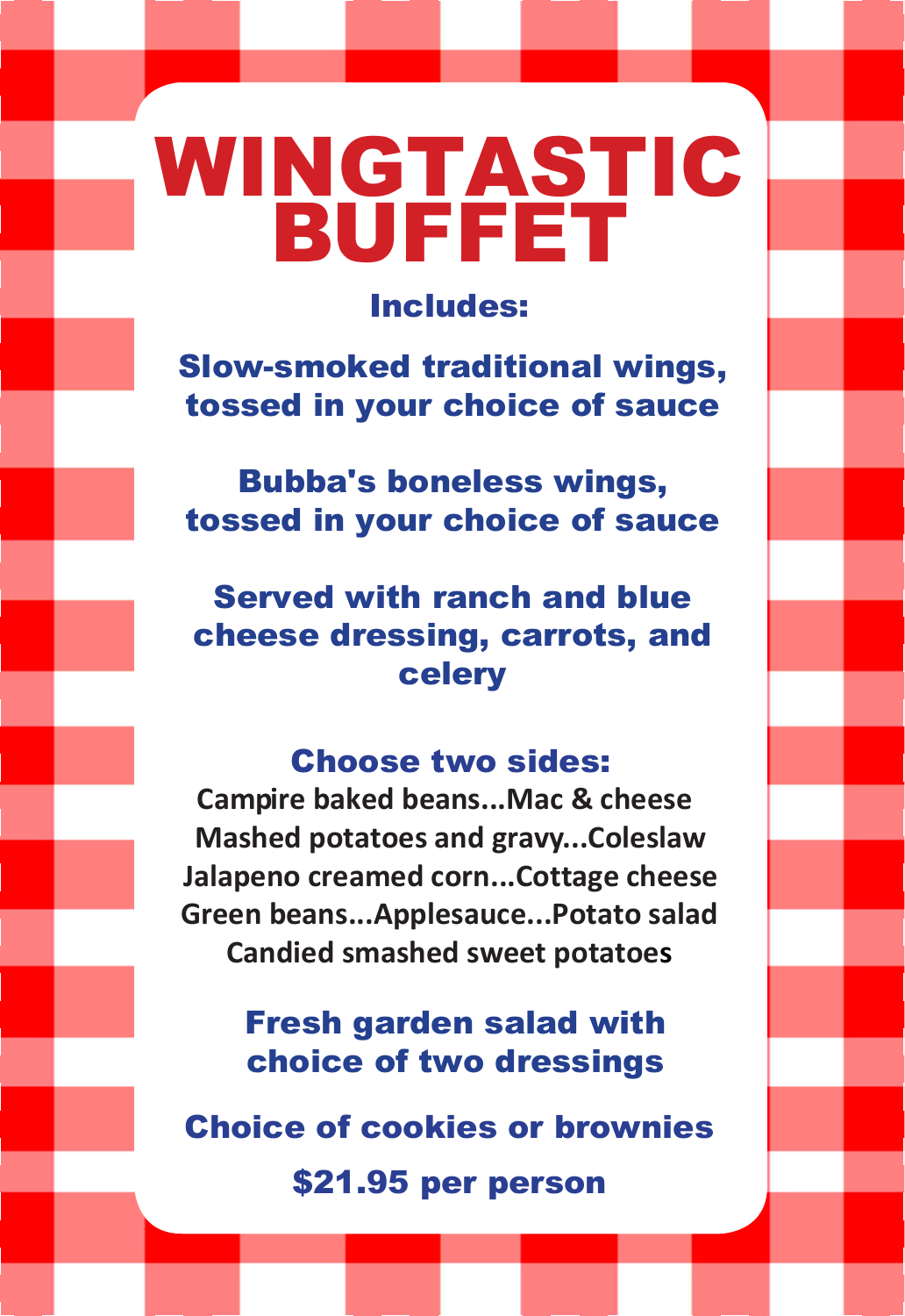WINGTASTIC BUFFET

Includes:

Slow-smoked traditional wings, tossed in your choice of sauce

Bubba's boneless wings, tossed in your choice of sauce

Served with ranch and blue cheese dressing, carrots, and celery

#### Choose two sides:

**Campire baked beans...Mac & cheese Mashed potatoes and gravy...Coleslaw Jalapeno creamed corn...Cottage cheese Green beans...Applesauce...Potato salad Candied smashed sweet potatoes**

> Fresh garden salad with choice of two dressings

Choice of cookies or brownies

\$21.95 per person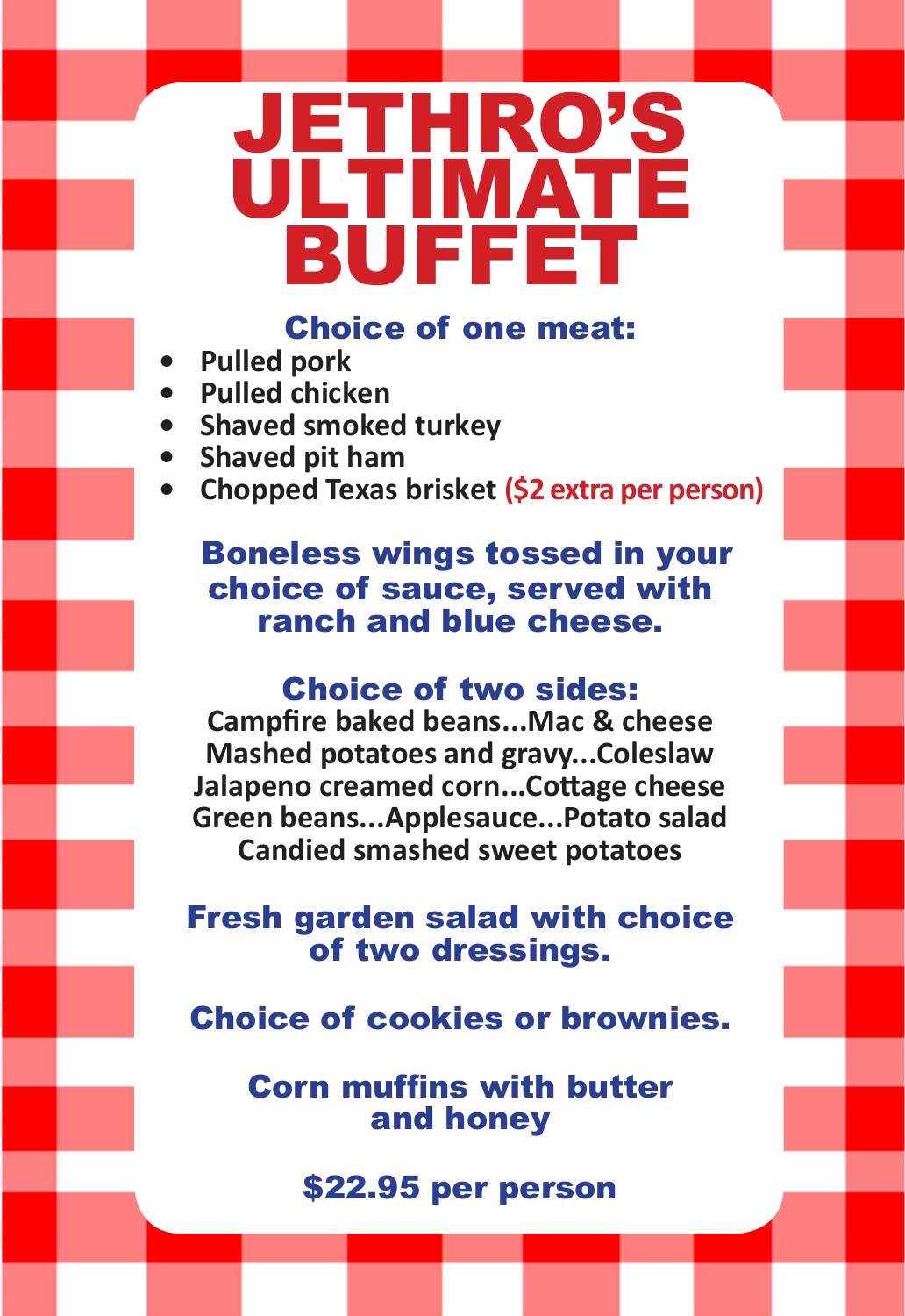# JETHRO'S ULTIMATE BUFFET

Choice of one meat:

- **Pulled pork**
- **Pulled chicken**
- **Shaved smoked turkey**
- **Shaved pit ham**
- **Chopped Texas brisket (\$2 extra per person)**

#### Boneless wings tossed in your choice of sauce, served with ranch and blue cheese.

#### Choice of two sides:

**Campfire baked beans...Mac & cheese Mashed potatoes and gravy...Coleslaw Jalapeno creamed corn...Cottage cheese Green beans...Applesauce...Potato salad Candied smashed sweet potatoes**

Fresh garden salad with choice of two dressings.

Choice of cookies or brownies.

Corn muffins with butter and honey

\$22.95 per person